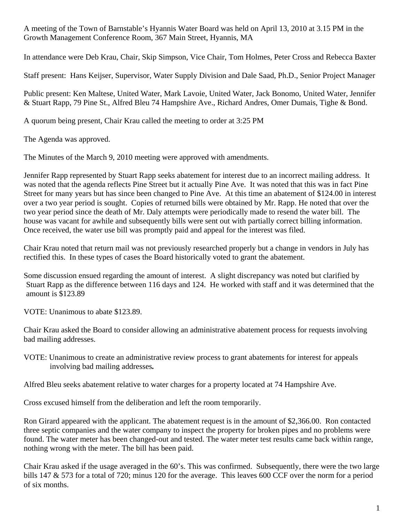A meeting of the Town of Barnstable's Hyannis Water Board was held on April 13, 2010 at 3.15 PM in the Growth Management Conference Room, 367 Main Street, Hyannis, MA

In attendance were Deb Krau, Chair, Skip Simpson, Vice Chair, Tom Holmes, Peter Cross and Rebecca Baxter

Staff present: Hans Keijser, Supervisor, Water Supply Division and Dale Saad, Ph.D., Senior Project Manager

Public present: Ken Maltese, United Water, Mark Lavoie, United Water, Jack Bonomo, United Water, Jennifer & Stuart Rapp, 79 Pine St., Alfred Bleu 74 Hampshire Ave., Richard Andres, Omer Dumais, Tighe & Bond.

A quorum being present, Chair Krau called the meeting to order at 3:25 PM

The Agenda was approved.

The Minutes of the March 9, 2010 meeting were approved with amendments.

Jennifer Rapp represented by Stuart Rapp seeks abatement for interest due to an incorrect mailing address. It was noted that the agenda reflects Pine Street but it actually Pine Ave. It was noted that this was in fact Pine Street for many years but has since been changed to Pine Ave. At this time an abatement of \$124.00 in interest over a two year period is sought. Copies of returned bills were obtained by Mr. Rapp. He noted that over the two year period since the death of Mr. Daly attempts were periodically made to resend the water bill. The house was vacant for awhile and subsequently bills were sent out with partially correct billing information. Once received, the water use bill was promptly paid and appeal for the interest was filed.

Chair Krau noted that return mail was not previously researched properly but a change in vendors in July has rectified this. In these types of cases the Board historically voted to grant the abatement.

 Some discussion ensued regarding the amount of interest. A slight discrepancy was noted but clarified by Stuart Rapp as the difference between 116 days and 124. He worked with staff and it was determined that the amount is \$123.89

VOTE: Unanimous to abate \$123.89.

Chair Krau asked the Board to consider allowing an administrative abatement process for requests involving bad mailing addresses.

VOTE: Unanimous to create an administrative review process to grant abatements for interest for appeals involving bad mailing addresses*.*

Alfred Bleu seeks abatement relative to water charges for a property located at 74 Hampshire Ave.

Cross excused himself from the deliberation and left the room temporarily.

Ron Girard appeared with the applicant. The abatement request is in the amount of \$2,366.00. Ron contacted three septic companies and the water company to inspect the property for broken pipes and no problems were found. The water meter has been changed-out and tested. The water meter test results came back within range, nothing wrong with the meter. The bill has been paid.

Chair Krau asked if the usage averaged in the 60's. This was confirmed. Subsequently, there were the two large bills 147 & 573 for a total of 720; minus 120 for the average. This leaves 600 CCF over the norm for a period of six months.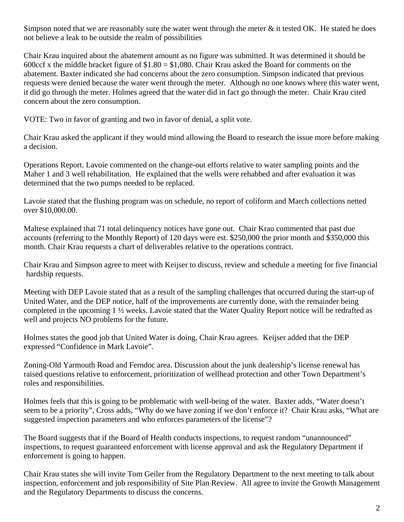Simpson noted that we are reasonably sure the water went through the meter  $\&$  it tested OK. He stated he does not believe a leak to be outside the realm of possibilities

Chair Krau inquired about the abatement amount as no figure was submitted. It was determined it should be 600ccf x the middle bracket figure of  $$1.80 = $1,080$ . Chair Krau asked the Board for comments on the abatement. Baxter indicated she had concerns about the zero consumption. Simpson indicated that previous requests were denied because the water went through the meter. Although no one knows where this water went, it did go through the meter. Holmes agreed that the water did in fact go through the meter. Chair Krau cited concern about the zero consumption.

VOTE: Two in favor of granting and two in favor of denial, a split vote.

Chair Krau asked the applicant if they would mind allowing the Board to research the issue more before making a decision.

Operations Report. Lavoie commented on the change-out efforts relative to water sampling points and the Maher 1 and 3 well rehabilitation. He explained that the wells were rehabbed and after evaluation it was determined that the two pumps needed to be replaced.

Lavoie stated that the flushing program was on schedule, no report of coliform and March collections netted over \$10,000.00.

Maltese explained that 71 total delinquency notices have gone out. Chair Krau commented that past due accounts (referring to the Monthly Report) of 120 days were est. \$250,000 the prior month and \$350,000 this month. Chair Krau requests a chart of deliverables relative to the operations contract.

Chair Krau and Simpson agree to meet with Keijser to discuss, review and schedule a meeting for five financial hardship requests.

Meeting with DEP Lavoie stated that as a result of the sampling challenges that occurred during the start-up of United Water, and the DEP notice, half of the improvements are currently done, with the remainder being completed in the upcoming 1 ½ weeks. Lavoie stated that the Water Quality Report notice will be redrafted as well and projects NO problems for the future.

Holmes states the good job that United Water is doing, Chair Krau agrees. Keijser added that the DEP expressed "Confidence in Mark Lavoie".

Zoning-Old Yarmouth Road and Ferndoc area. Discussion about the junk dealership's license renewal has raised questions relative to enforcement, prioritization of wellhead protection and other Town Department's roles and responsibilities.

Holmes feels that this is going to be problematic with well-being of the water. Baxter adds, "Water doesn't seem to be a priority", Cross adds, "Why do we have zoning if we don't enforce it? Chair Krau asks, "What are suggested inspection parameters and who enforces parameters of the license"?

The Board suggests that if the Board of Health conducts inspections, to request random "unannounced" inspections, to request guaranteed enforcement with license approval and ask the Regulatory Department if enforcement is going to happen.

Chair Krau states she will invite Tom Geiler from the Regulatory Department to the next meeting to talk about inspection, enforcement and job responsibility of Site Plan Review. All agree to invite the Growth Management and the Regulatory Departments to discuss the concerns.